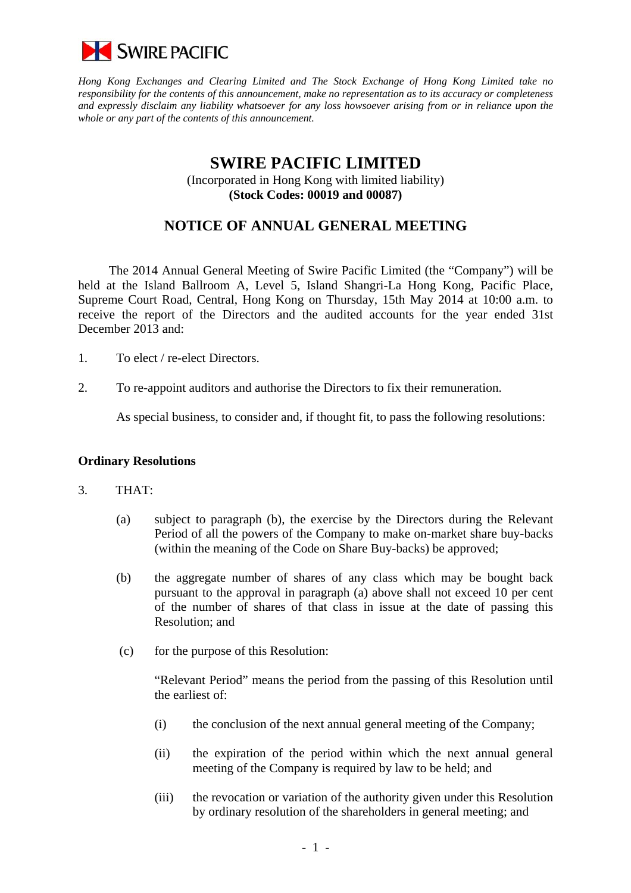

*Hong Kong Exchanges and Clearing Limited and The Stock Exchange of Hong Kong Limited take no responsibility for the contents of this announcement, make no representation as to its accuracy or completeness and expressly disclaim any liability whatsoever for any loss howsoever arising from or in reliance upon the whole or any part of the contents of this announcement.* 

# **SWIRE PACIFIC LIMITED**

(Incorporated in Hong Kong with limited liability) **(Stock Codes: 00019 and 00087)** 

## **NOTICE OF ANNUAL GENERAL MEETING**

The 2014 Annual General Meeting of Swire Pacific Limited (the "Company") will be held at the Island Ballroom A, Level 5, Island Shangri-La Hong Kong, Pacific Place, Supreme Court Road, Central, Hong Kong on Thursday, 15th May 2014 at 10:00 a.m. to receive the report of the Directors and the audited accounts for the year ended 31st December 2013 and:

- 1. To elect / re-elect Directors.
- 2. To re-appoint auditors and authorise the Directors to fix their remuneration.

As special business, to consider and, if thought fit, to pass the following resolutions:

#### **Ordinary Resolutions**

- 3. THAT:
	- (a) subject to paragraph (b), the exercise by the Directors during the Relevant Period of all the powers of the Company to make on-market share buy-backs (within the meaning of the Code on Share Buy-backs) be approved;
	- (b) the aggregate number of shares of any class which may be bought back pursuant to the approval in paragraph (a) above shall not exceed 10 per cent of the number of shares of that class in issue at the date of passing this Resolution; and
	- (c) for the purpose of this Resolution:

 "Relevant Period" means the period from the passing of this Resolution until the earliest of:

- (i) the conclusion of the next annual general meeting of the Company;
- (ii) the expiration of the period within which the next annual general meeting of the Company is required by law to be held; and
- (iii) the revocation or variation of the authority given under this Resolution by ordinary resolution of the shareholders in general meeting; and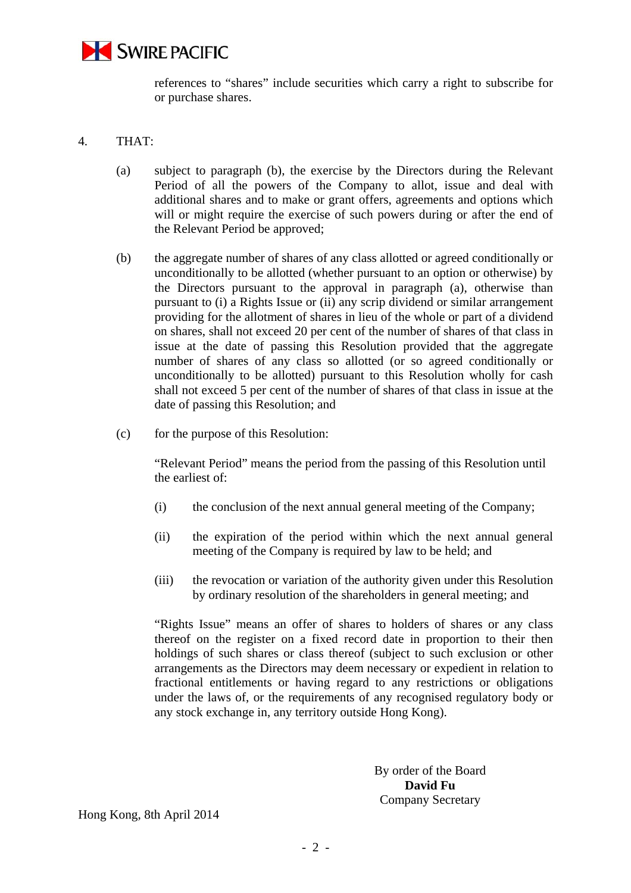

references to "shares" include securities which carry a right to subscribe for or purchase shares.

#### 4. THAT:

- (a) subject to paragraph (b), the exercise by the Directors during the Relevant Period of all the powers of the Company to allot, issue and deal with additional shares and to make or grant offers, agreements and options which will or might require the exercise of such powers during or after the end of the Relevant Period be approved;
- (b) the aggregate number of shares of any class allotted or agreed conditionally or unconditionally to be allotted (whether pursuant to an option or otherwise) by the Directors pursuant to the approval in paragraph (a), otherwise than pursuant to (i) a Rights Issue or (ii) any scrip dividend or similar arrangement providing for the allotment of shares in lieu of the whole or part of a dividend on shares, shall not exceed 20 per cent of the number of shares of that class in issue at the date of passing this Resolution provided that the aggregate number of shares of any class so allotted (or so agreed conditionally or unconditionally to be allotted) pursuant to this Resolution wholly for cash shall not exceed 5 per cent of the number of shares of that class in issue at the date of passing this Resolution; and
- (c) for the purpose of this Resolution:

"Relevant Period" means the period from the passing of this Resolution until the earliest of:

- (i) the conclusion of the next annual general meeting of the Company;
- (ii) the expiration of the period within which the next annual general meeting of the Company is required by law to be held; and
- (iii) the revocation or variation of the authority given under this Resolution by ordinary resolution of the shareholders in general meeting; and

 "Rights Issue" means an offer of shares to holders of shares or any class thereof on the register on a fixed record date in proportion to their then holdings of such shares or class thereof (subject to such exclusion or other arrangements as the Directors may deem necessary or expedient in relation to fractional entitlements or having regard to any restrictions or obligations under the laws of, or the requirements of any recognised regulatory body or any stock exchange in, any territory outside Hong Kong).

> By order of the Board **David Fu**  Company Secretary

Hong Kong, 8th April 2014